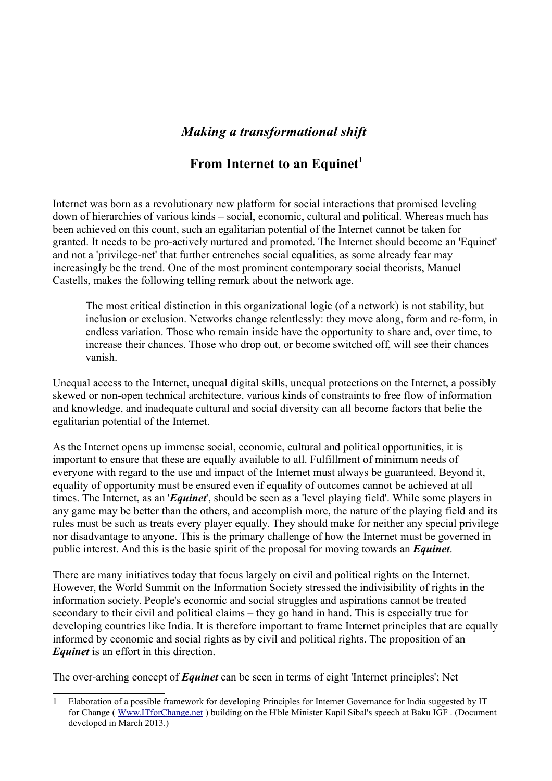# *Making a transformational shift*

# **From Internet to an Equinet[1](#page-0-0)**

Internet was born as a revolutionary new platform for social interactions that promised leveling down of hierarchies of various kinds – social, economic, cultural and political. Whereas much has been achieved on this count, such an egalitarian potential of the Internet cannot be taken for granted. It needs to be pro-actively nurtured and promoted. The Internet should become an 'Equinet' and not a 'privilege-net' that further entrenches social equalities, as some already fear may increasingly be the trend. One of the most prominent contemporary social theorists, Manuel Castells, makes the following telling remark about the network age.

The most critical distinction in this organizational logic (of a network) is not stability, but inclusion or exclusion. Networks change relentlessly: they move along, form and re-form, in endless variation. Those who remain inside have the opportunity to share and, over time, to increase their chances. Those who drop out, or become switched off, will see their chances vanish.

Unequal access to the Internet, unequal digital skills, unequal protections on the Internet, a possibly skewed or non-open technical architecture, various kinds of constraints to free flow of information and knowledge, and inadequate cultural and social diversity can all become factors that belie the egalitarian potential of the Internet.

As the Internet opens up immense social, economic, cultural and political opportunities, it is important to ensure that these are equally available to all. Fulfillment of minimum needs of everyone with regard to the use and impact of the Internet must always be guaranteed, Beyond it, equality of opportunity must be ensured even if equality of outcomes cannot be achieved at all times. The Internet, as an '*Equinet*', should be seen as a 'level playing field'. While some players in any game may be better than the others, and accomplish more, the nature of the playing field and its rules must be such as treats every player equally. They should make for neither any special privilege nor disadvantage to anyone. This is the primary challenge of how the Internet must be governed in public interest. And this is the basic spirit of the proposal for moving towards an *Equinet*.

There are many initiatives today that focus largely on civil and political rights on the Internet. However, the World Summit on the Information Society stressed the indivisibility of rights in the information society. People's economic and social struggles and aspirations cannot be treated secondary to their civil and political claims – they go hand in hand. This is especially true for developing countries like India. It is therefore important to frame Internet principles that are equally informed by economic and social rights as by civil and political rights. The proposition of an *Equinet* is an effort in this direction.

The over-arching concept of *Equinet* can be seen in terms of eight 'Internet principles'; Net

<span id="page-0-0"></span><sup>1</sup> Elaboration of a possible framework for developing Principles for Internet Governance for India suggested by IT for Change ( [Www.ITforChange.net](http://Www.ITforChange.net/) ) building on the H'ble Minister Kapil Sibal's speech at Baku IGF . (Document developed in March 2013.)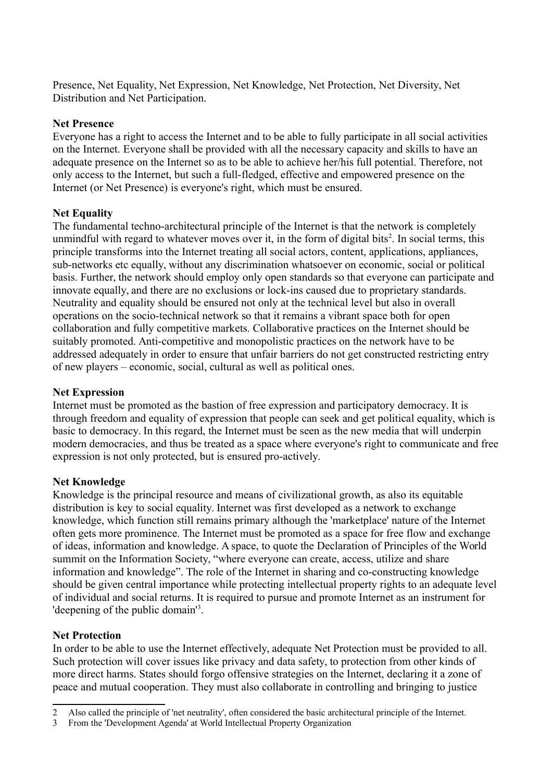Presence, Net Equality, Net Expression, Net Knowledge, Net Protection, Net Diversity, Net Distribution and Net Participation.

### **Net Presence**

Everyone has a right to access the Internet and to be able to fully participate in all social activities on the Internet. Everyone shall be provided with all the necessary capacity and skills to have an adequate presence on the Internet so as to be able to achieve her/his full potential. Therefore, not only access to the Internet, but such a full-fledged, effective and empowered presence on the Internet (or Net Presence) is everyone's right, which must be ensured.

# **Net Equality**

The fundamental techno-architectural principle of the Internet is that the network is completely unmindful with regard to whatever moves over it, in the form of digital bits<sup>[2](#page-1-0)</sup>. In social terms, this principle transforms into the Internet treating all social actors, content, applications, appliances, sub-networks etc equally, without any discrimination whatsoever on economic, social or political basis. Further, the network should employ only open standards so that everyone can participate and innovate equally, and there are no exclusions or lock-ins caused due to proprietary standards. Neutrality and equality should be ensured not only at the technical level but also in overall operations on the socio-technical network so that it remains a vibrant space both for open collaboration and fully competitive markets. Collaborative practices on the Internet should be suitably promoted. Anti-competitive and monopolistic practices on the network have to be addressed adequately in order to ensure that unfair barriers do not get constructed restricting entry of new players – economic, social, cultural as well as political ones.

### **Net Expression**

Internet must be promoted as the bastion of free expression and participatory democracy. It is through freedom and equality of expression that people can seek and get political equality, which is basic to democracy. In this regard, the Internet must be seen as the new media that will underpin modern democracies, and thus be treated as a space where everyone's right to communicate and free expression is not only protected, but is ensured pro-actively.

# **Net Knowledge**

Knowledge is the principal resource and means of civilizational growth, as also its equitable distribution is key to social equality. Internet was first developed as a network to exchange knowledge, which function still remains primary although the 'marketplace' nature of the Internet often gets more prominence. The Internet must be promoted as a space for free flow and exchange of ideas, information and knowledge. A space, to quote the Declaration of Principles of the World summit on the Information Society, "where everyone can create, access, utilize and share information and knowledge". The role of the Internet in sharing and co-constructing knowledge should be given central importance while protecting intellectual property rights to an adequate level of individual and social returns. It is required to pursue and promote Internet as an instrument for 'deepening of the public domain'[3](#page-1-1) .

# **Net Protection**

In order to be able to use the Internet effectively, adequate Net Protection must be provided to all. Such protection will cover issues like privacy and data safety, to protection from other kinds of more direct harms. States should forgo offensive strategies on the Internet, declaring it a zone of peace and mutual cooperation. They must also collaborate in controlling and bringing to justice

<span id="page-1-0"></span><sup>2</sup> Also called the principle of 'net neutrality', often considered the basic architectural principle of the Internet.

<span id="page-1-1"></span><sup>3</sup> From the 'Development Agenda' at World Intellectual Property Organization